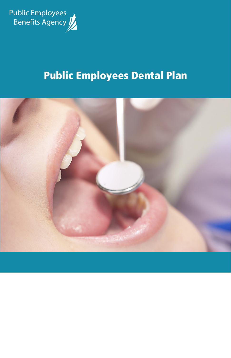

# Public Employees Dental Plan

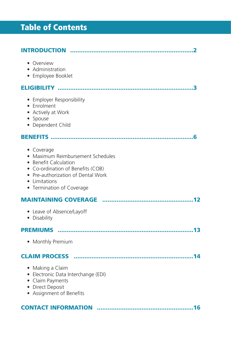# Table of Contents

| • Overview<br>• Administration<br>• Employee Booklet                                                                                                                                              |
|---------------------------------------------------------------------------------------------------------------------------------------------------------------------------------------------------|
|                                                                                                                                                                                                   |
| • Employer Responsibility<br>• Enrolment<br>• Actively at Work<br>• Spouse<br>• Dependent Child                                                                                                   |
|                                                                                                                                                                                                   |
| • Coverage<br>• Maximum Reimbursement Schedules<br>• Benefit Calculation<br>• Co-ordination of Benefits (COB)<br>• Pre-authorization of Dental Work<br>• Limitations<br>• Termination of Coverage |
|                                                                                                                                                                                                   |
| • Leave of Absence/Layoff<br>• Disability                                                                                                                                                         |
|                                                                                                                                                                                                   |
| • Monthly Premium                                                                                                                                                                                 |
|                                                                                                                                                                                                   |
| • Making a Claim<br>• Electronic Data Interchange (EDI)<br>• Claim Payments<br>• Direct Deposit<br>• Assignment of Benefits                                                                       |
| <b>CONTACT INFORMATION</b>                                                                                                                                                                        |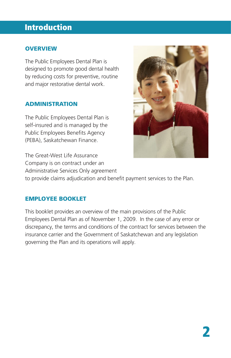### Introduction

#### **OVERVIEW**

The Public Employees Dental Plan is designed to promote good dental health by reducing costs for preventive, routine and major restorative dental work.

#### ADMINISTRATION

The Public Employees Dental Plan is self-insured and is managed by the Public Employees Benefits Agency (PEBA), Saskatchewan Finance.



#### EMPLOYEE BOOKLET

This booklet provides an overview of the main provisions of the Public Employees Dental Plan as of November 1, 2009. In the case of any error or discrepancy, the terms and conditions of the contract for services between the insurance carrier and the Government of Saskatchewan and any legislation governing the Plan and its operations will apply.

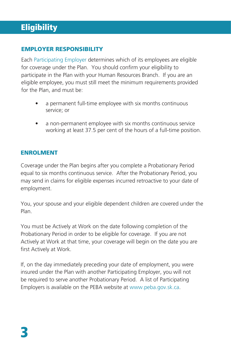### **Eligibility**

#### EMPLOYER RESPONSIBILITY

Each Participating Employer determines which of its employees are eligible for coverage under the Plan. You should confirm your eligibility to participate in the Plan with your Human Resources Branch. If you are an eligible employee, you must still meet the minimum requirements provided for the Plan, and must be:

- a permanent full-time employee with six months continuous service; or
- a non-permanent employee with six months continuous service working at least 37.5 per cent of the hours of a full-time position.

#### ENROLMENT

Coverage under the Plan begins after you complete a Probationary Period equal to six months continuous service. After the Probationary Period, you may send in claims for eligible expenses incurred retroactive to your date of employment.

You, your spouse and your eligible dependent children are covered under the Plan.

You must be Actively at Work on the date following completion of the Probationary Period in order to be eligible for coverage. If you are not Actively at Work at that time, your coverage will begin on the date you are first Actively at Work.

If, on the day immediately preceding your date of employment, you were insured under the Plan with another Participating Employer, you will not be required to serve another Probationary Period. A list of Participating Employers is available on the PEBA website at www.peba.gov.sk.ca.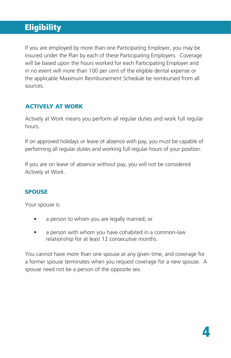### **Eligibility**

If you are employed by more than one Participating Employer, you may be insured under the Plan by each of these Participating Employers. Coverage will be based upon the hours worked for each Participating Employer and in no event will more than 100 per cent of the eligible dental expense or the applicable Maximum Reimbursement Schedule be reimbursed from all sources.

#### ACTIVELY AT WORK

Actively at Work means you perform all regular duties and work full regular hours.

If on approved holidays or leave of absence with pay, you must be capable of performing all regular duties and working full regular hours of your position.

If you are on leave of absence without pay, you will not be considered Actively at Work.

#### SPOUSE

Your spouse is:

- a person to whom you are legally married; or
- a person with whom you have cohabited in a common-law relationship for at least 12 consecutive months.

You cannot have more than one spouse at any given time, and coverage for a former spouse terminates when you request coverage for a new spouse. A spouse need not be a person of the opposite sex.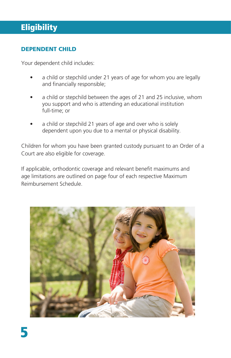### **Eligibility**

#### DEPENDENT CHILD

Your dependent child includes:

- a child or stepchild under 21 years of age for whom you are legally and financially responsible;
- a child or stepchild between the ages of 21 and 25 inclusive, whom you support and who is attending an educational institution full-time; or
- a child or stepchild 21 years of age and over who is solely dependent upon you due to a mental or physical disability.

Children for whom you have been granted custody pursuant to an Order of a Court are also eligible for coverage.

If applicable, orthodontic coverage and relevant benefit maximums and age limitations are outlined on page four of each respective Maximum Reimbursement Schedule.

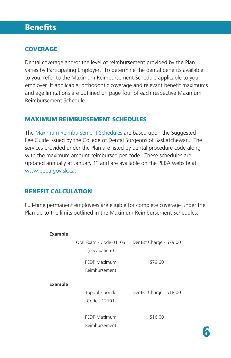#### **COVERAGE**

Dental coverage and/or the level of reimbursement provided by the Plan varies by Participating Employer. To determine the dental benefits available to you, refer to the Maximum Reimbursement Schedule applicable to your employer. If applicable, orthodontic coverage and relevant benefit maximums and age limitations are outlined on page four of each respective Maximum Reimbursement Schedule.

#### MAXIMUM REIMBURSEMENT SCHEDULES

The Maximum Reimbursement Schedules are based upon the Suggested Fee Guide issued by the College of Dental Surgeons of Saskatchewan. The services provided under the Plan are listed by dental procedure code along with the maximum amount reimbursed per code. These schedules are updated annually at January 1<sup>st</sup> and are available on the PEBA website at www.peba.gov.sk.ca.

#### BENEFIT CALCULATION

Full-time permanent employees are eligible for complete coverage under the Plan up to the limits outlined in the Maximum Reimbursement Schedules.

| Example |                                                     |                          |
|---------|-----------------------------------------------------|--------------------------|
|         | Oral Exam - Code 01103                              | Dentist Charge - \$79.00 |
|         | (new patient)                                       |                          |
|         | <b>PEDP Maximum</b>                                 | \$79.00                  |
|         | Reimbursement                                       |                          |
| Example |                                                     |                          |
|         | <b>Topical Fluoride</b><br>Dentist Charge - \$18.00 |                          |
|         | Code - 12101                                        |                          |
|         | <b>PEDP Maximum</b>                                 | \$16.00                  |
|         | Reimbursement                                       |                          |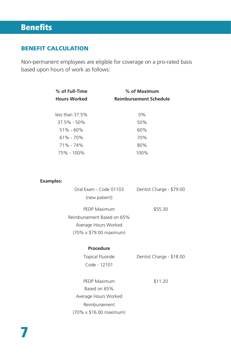#### BENEFIT CALCULATION

Non-permanent employees are eligible for coverage on a pro-rated basis based upon hours of work as follows:

| % of Full-Time      | % of Maximum                  |  |
|---------------------|-------------------------------|--|
| <b>Hours Worked</b> | <b>Reimbursement Schedule</b> |  |
|                     |                               |  |
| less than 37.5%     | $0\%$                         |  |
| 37.5% - 50%         | 50%                           |  |
| $51\% - 60\%$       | 60%                           |  |
| $61\% - 70\%$       | 70%                           |  |
| 71% - 74%           | 80%                           |  |
| 75% - 100%          | 100%                          |  |
|                     |                               |  |

#### **Examples:**

| Oral Exam - Code 01103     | Dentist Charge - \$79.00 |
|----------------------------|--------------------------|
| (new patient)              |                          |
| <b>PEDP Maximum</b>        | \$55.30                  |
| Reimbursement Based on 65% |                          |
| Average Hours Worked       |                          |
| (70% x \$79.00 maximum)    |                          |

#### **Procedure**

| Topical Fluoride | Dentist Charge - \$18.00 |
|------------------|--------------------------|
| Code - 12101     |                          |

PEDP Maximum Based on 65% Average Hours Worked \$11.20 Reimbursement (70% x \$16.00 maximum)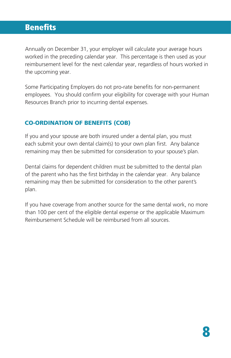Annually on December 31, your employer will calculate your average hours worked in the preceding calendar year. This percentage is then used as your reimbursement level for the next calendar year, regardless of hours worked in the upcoming year.

Some Participating Employers do not pro-rate benefits for non-permanent employees. You should confirm your eligibility for coverage with your Human Resources Branch prior to incurring dental expenses.

#### CO-ORDINATION OF BENEFITS (COB)

If you and your spouse are both insured under a dental plan, you must each submit your own dental claim(s) to your own plan first. Any balance remaining may then be submitted for consideration to your spouse's plan.

Dental claims for dependent children must be submitted to the dental plan of the parent who has the first birthday in the calendar year. Any balance remaining may then be submitted for consideration to the other parent's plan.

If you have coverage from another source for the same dental work, no more than 100 per cent of the eligible dental expense or the applicable Maximum Reimbursement Schedule will be reimbursed from all sources.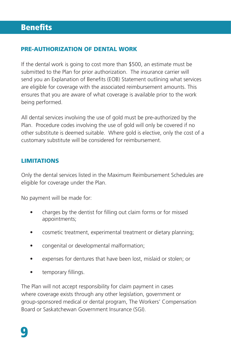#### PRE-AUTHORIZATION OF DENTAL WORK

If the dental work is going to cost more than \$500, an estimate must be submitted to the Plan for prior authorization. The insurance carrier will send you an Explanation of Benefits (EOB) Statement outlining what services are eligible for coverage with the associated reimbursement amounts. This ensures that you are aware of what coverage is available prior to the work being performed.

All dental services involving the use of gold must be pre-authorized by the Plan. Procedure codes involving the use of gold will only be covered if no other substitute is deemed suitable. Where gold is elective, only the cost of a customary substitute will be considered for reimbursement.

#### **LIMITATIONS**

Only the dental services listed in the Maximum Reimbursement Schedules are eligible for coverage under the Plan.

No payment will be made for:

- charges by the dentist for filling out claim forms or for missed appointments;
- cosmetic treatment, experimental treatment or dietary planning;
- congenital or developmental malformation;
- expenses for dentures that have been lost, mislaid or stolen; or
- temporary fillings.

The Plan will not accept responsibility for claim payment in cases where coverage exists through any other legislation, government or group-sponsored medical or dental program, The Workers' Compensation Board or Saskatchewan Government Insurance (SGI).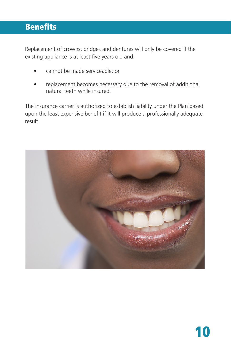### Benefits Benefits

Replacement of crowns, bridges and dentures will only be covered if the existing appliance is at least five years old and:

- cannot be made serviceable; or
- replacement becomes necessary due to the removal of additional natural teeth while insured.

The insurance carrier is authorized to establish liability under the Plan based upon the least expensive benefit if it will produce a professionally adequate result.

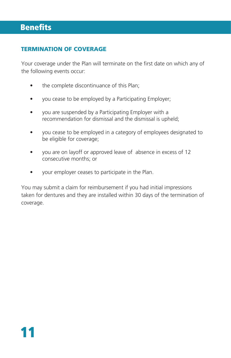#### TERMINATION OF COVERAGE

Your coverage under the Plan will terminate on the first date on which any of the following events occur:

- the complete discontinuance of this Plan;
- you cease to be employed by a Participating Employer;
- you are suspended by a Participating Employer with a recommendation for dismissal and the dismissal is upheld;
- you cease to be employed in a category of employees designated to be eligible for coverage;
- you are on layoff or approved leave of absence in excess of 12 consecutive months; or
- your employer ceases to participate in the Plan.

You may submit a claim for reimbursement if you had initial impressions taken for dentures and they are installed within 30 days of the termination of coverage.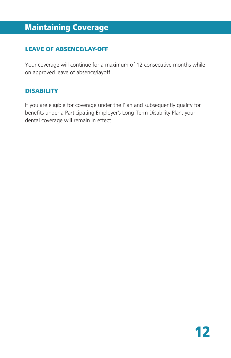### Maintaining Coverage Maintaining Coverage

#### LEAVE OF ABSENCE/LAY-OFF

Your coverage will continue for a maximum of 12 consecutive months while on approved leave of absence/layoff.

#### **DISABILITY**

If you are eligible for coverage under the Plan and subsequently qualify for benefits under a Participating Employer's Long-Term Disability Plan, your dental coverage will remain in effect.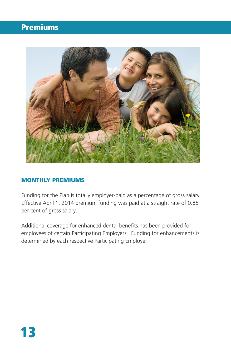### Premiums Premiums



#### MONTHLY PREMIUMS

Funding for the Plan is totally employer-paid as a percentage of gross salary. Effective April 1, 2014 premium funding was paid at a straight rate of 0.85 per cent of gross salary.

Additional coverage for enhanced dental benefits has been provided for employees of certain Participating Employers. Funding for enhancements is determined by each respective Participating Employer.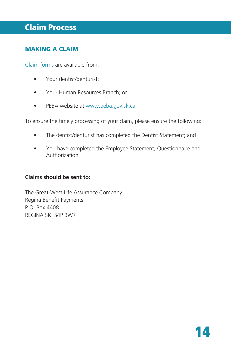### Claim Process Claim Process

#### MAKING A CLAIM

Claim forms are available from:

- Your dentist/denturist;
- Your Human Resources Branch; or
- PEBA website at www.peba.gov.sk.ca

To ensure the timely processing of your claim, please ensure the following:

- The dentist/denturist has completed the Dentist Statement; and
- You have completed the Employee Statement, Questionnaire and Authorization.

#### **Claims should be sent to:**

The Great-West Life Assurance Company Regina Benefit Payments P.O. Box 4408 REGINA SK S4P 3W7

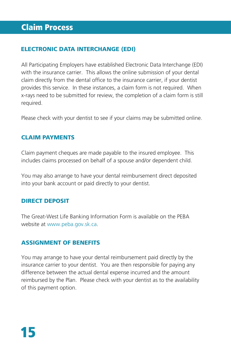#### ELECTRONIC DATA INTERCHANGE (EDI)

All Participating Employers have established Electronic Data Interchange (EDI) with the insurance carrier. This allows the online submission of your dental claim directly from the dental office to the insurance carrier, if your dentist provides this service. In these instances, a claim form is not required. When x-rays need to be submitted for review, the completion of a claim form is still required.

Please check with your dentist to see if your claims may be submitted online.

#### CLAIM PAYMENTS

Claim payment cheques are made payable to the insured employee. This includes claims processed on behalf of a spouse and/or dependent child.

You may also arrange to have your dental reimbursement direct deposited into your bank account or paid directly to your dentist.

#### DIRECT DEPOSIT

The Great-West Life Banking Information Form is available on the PEBA website at www.peba.gov.sk.ca.

#### ASSIGNMENT OF BENEFITS

You may arrange to have your dental reimbursement paid directly by the insurance carrier to your dentist. You are then responsible for paying any difference between the actual dental expense incurred and the amount reimbursed by the Plan. Please check with your dentist as to the availability of this payment option.